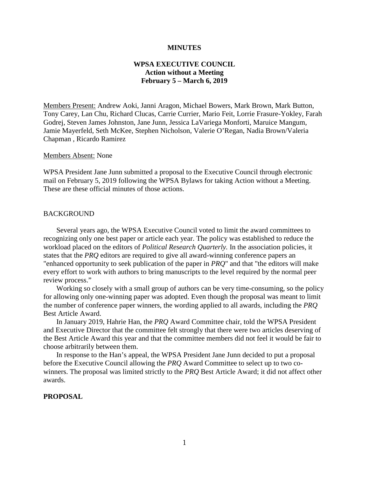#### **MINUTES**

## **WPSA EXECUTIVE COUNCIL Action without a Meeting February 5 – March 6, 2019**

Members Present: Andrew Aoki, Janni Aragon, Michael Bowers, Mark Brown, Mark Button, Tony Carey, Lan Chu, Richard Clucas, Carrie Currier, Mario Feit, Lorrie Frasure-Yokley, Farah Godrej, Steven James Johnston, Jane Junn, Jessica LaVariega Monforti, Maruice Mangum, Jamie Mayerfeld, Seth McKee, Stephen Nicholson, Valerie O'Regan, Nadia Brown/Valeria Chapman , Ricardo Ramirez

## Members Absent: None

WPSA President Jane Junn submitted a proposal to the Executive Council through electronic mail on February 5, 2019 following the WPSA Bylaws for taking Action without a Meeting. These are these official minutes of those actions.

## **BACKGROUND**

Several years ago, the WPSA Executive Council voted to limit the award committees to recognizing only one best paper or article each year. The policy was established to reduce the workload placed on the editors of *Political Research Quarterly.* In the association policies, it states that the *PRQ* editors are required to give all award-winning conference papers an "enhanced opportunity to seek publication of the paper in *PRQ*" and that "the editors will make every effort to work with authors to bring manuscripts to the level required by the normal peer review process."

Working so closely with a small group of authors can be very time-consuming, so the policy for allowing only one-winning paper was adopted. Even though the proposal was meant to limit the number of conference paper winners, the wording applied to all awards, including the *PRQ* Best Article Award.

In January 2019, Hahrie Han, the *PRQ* Award Committee chair, told the WPSA President and Executive Director that the committee felt strongly that there were two articles deserving of the Best Article Award this year and that the committee members did not feel it would be fair to choose arbitrarily between them.

In response to the Han's appeal, the WPSA President Jane Junn decided to put a proposal before the Executive Council allowing the *PRQ* Award Committee to select up to two cowinners. The proposal was limited strictly to the *PRQ* Best Article Award; it did not affect other awards.

## **PROPOSAL**